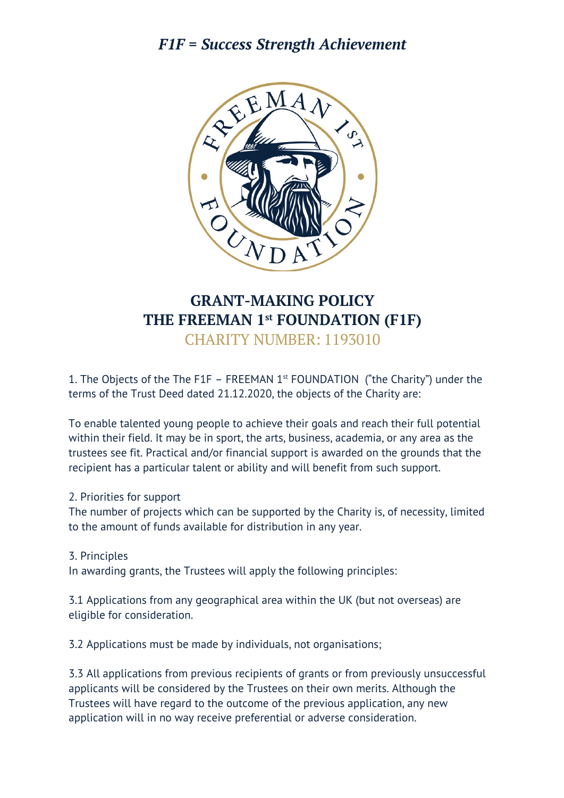# *F1F = Success Strength Achievement*



# **GRANT-MAKING POLICY THE FREEMAN 1st FOUNDATION (F1F)** CHARITY NUMBER: 1193010

1. The Objects of the The F1F – FREEMAN  $1<sup>st</sup>$  FOUNDATION ("the Charity") under the terms of the Trust Deed dated 21.12.2020, the objects of the Charity are:

To enable talented young people to achieve their goals and reach their full potential within their field. It may be in sport, the arts, business, academia, or any area as the trustees see fit. Practical and/or financial support is awarded on the grounds that the recipient has a particular talent or ability and will benefit from such support.

### 2. Priorities for support

The number of projects which can be supported by the Charity is, of necessity, limited to the amount of funds available for distribution in any year.

#### 3. Principles

In awarding grants, the Trustees will apply the following principles:

3.1 Applications from any geographical area within the UK (but not overseas) are eligible for consideration.

3.2 Applications must be made by individuals, not organisations;

3.3 All applications from previous recipients of grants or from previously unsuccessful applicants will be considered by the Trustees on their own merits. Although the Trustees will have regard to the outcome of the previous application, any new application will in no way receive preferential or adverse consideration.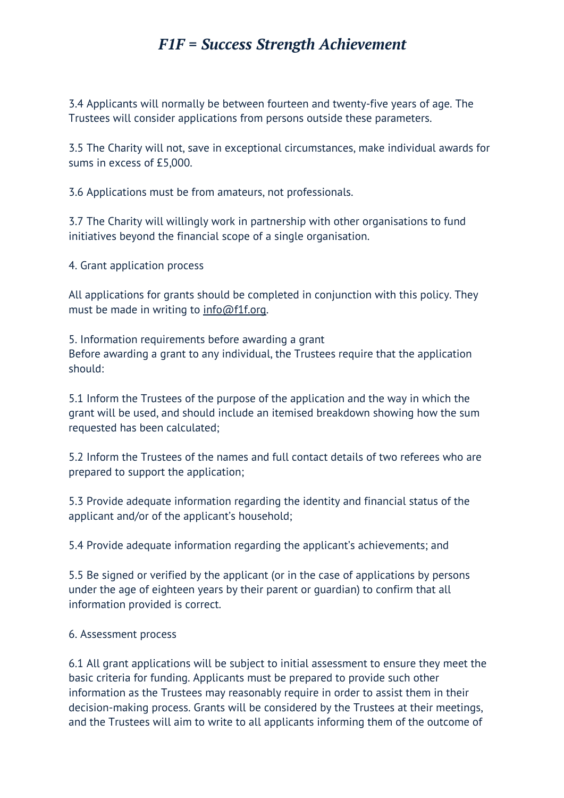## *F1F = Success Strength Achievement*

3.4 Applicants will normally be between fourteen and twenty-five years of age. The Trustees will consider applications from persons outside these parameters.

3.5 The Charity will not, save in exceptional circumstances, make individual awards for sums in excess of £5,000.

3.6 Applications must be from amateurs, not professionals.

3.7 The Charity will willingly work in partnership with other organisations to fund initiatives beyond the financial scope of a single organisation.

4. Grant application process

All applications for grants should be completed in conjunction with this policy. They must be made in writing to info@f1f.org.

5. Information requirements before awarding a grant Before awarding a grant to any individual, the Trustees require that the application should:

5.1 Inform the Trustees of the purpose of the application and the way in which the grant will be used, and should include an itemised breakdown showing how the sum requested has been calculated;

5.2 Inform the Trustees of the names and full contact details of two referees who are prepared to support the application;

5.3 Provide adequate information regarding the identity and financial status of the applicant and/or of the applicant's household;

5.4 Provide adequate information regarding the applicant's achievements; and

5.5 Be signed or verified by the applicant (or in the case of applications by persons under the age of eighteen years by their parent or guardian) to confirm that all information provided is correct.

#### 6. Assessment process

6.1 All grant applications will be subject to initial assessment to ensure they meet the basic criteria for funding. Applicants must be prepared to provide such other information as the Trustees may reasonably require in order to assist them in their decision-making process. Grants will be considered by the Trustees at their meetings, and the Trustees will aim to write to all applicants informing them of the outcome of